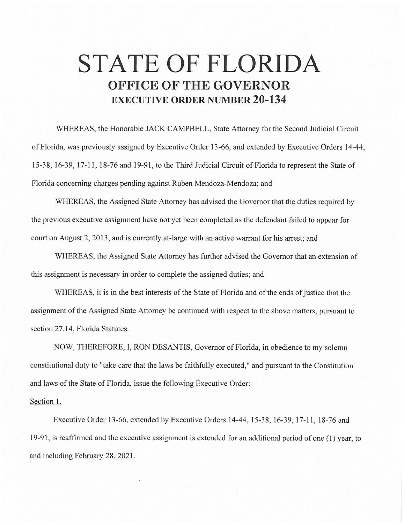## **STATE OF FLORIDA OFFICE OF THE GOVERNOR EXECUTIVE ORDER NUMBER 20-134**

WHEREAS, the Honorable JACK CAMPBELL, State Attorney for the Second Judicial Circuit of Florida, was previously assigned by Executive Order 13-66, and extended by Executive Orders 14-44, 15-38, 16-39, 17-11 , 18-76 and 19-91, to the Third Judicial Circuit of Florida to represent the State of Florida concerning charges pending against Ruben Mendoza-Mendoza; and

WHEREAS, the Assigned State Attorney has advised the Governor that the duties required by the previous executive assignment have not yet been completed as the defendant failed to appear for court on August 2, 2013, and is currently at-large with an active warrant for his arrest; and

WHEREAS, the Assigned State Attorney has further advised the Governor that an extension of this assignment is necessary in order to complete the assigned duties; and

WHEREAS, it is in the best interests of the State of Florida and of the ends of justice that the assignment of the Assigned State Attorney be continued with respect to the above matters, pursuant to section 27.14, Florida Statutes.

NOW, THEREFORE, I, RON DESANTIS, Governor of Florida, in obedience to my solemn constitutional duty to "take care that the laws be faithfully executed," and pursuant to the Constitution: and laws of the State of Florida, issue the following Executive Order:

## Section 1.

Executive Order 13-66, extended by Executive Orders 14-44, 15-38, 16-39, 17-11, 18-76 and 19-91, is reaffirmed and the executive assignment is extended for an additional period of one (1) year, to and including February 28, 2021.